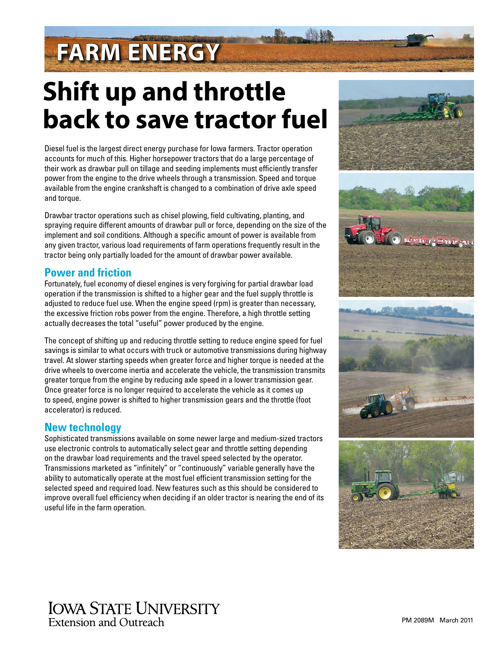# **FARM ENERGY**

# **Shift up and throttle back to save tractor fuel**

Diesel fuel is the largest direct energy purchase for Iowa farmers. Tractor operation accounts for much of this. Higher horsepower tractors that do a large percentage of their work as drawbar pull on tillage and seeding implements must efficiently transfer power from the engine to the drive wheels through a transmission. Speed and torque available from the engine crankshaft is changed to a combination of drive axle speed and torque.

Drawbar tractor operations such as chisel plowing, field cultivating, planting, and spraying require different amounts of drawbar pull or force, depending on the size of the implement and soil conditions. Although a specific amount of power is available from any given tractor, various load requirements of farm operations frequently result in the tractor being only partially loaded for the amount of drawbar power available.

## **Power and friction**

Fortunately, fuel economy of diesel engines is very forgiving for partial drawbar load operation if the transmission is shifted to a higher gear and the fuel supply throttle is adjusted to reduce fuel use. When the engine speed (rpm) is greater than necessary, the excessive friction robs power from the engine. Therefore, a high throttle setting actually decreases the total "useful" power produced by the engine.

The concept of shifting up and reducing throttle setting to reduce engine speed for fuel savings is similar to what occurs with truck or automotive transmissions during highway travel. At slower starting speeds when greater force and higher torque is needed at the drive wheels to overcome inertia and accelerate the vehicle, the transmission transmits greater torque from the engine by reducing axle speed in a lower transmission gear. Once greater force is no longer required to accelerate the vehicle as it comes up to speed, engine power is shifted to higher transmission gears and the throttle (foot accelerator) is reduced.

## **New technology**

Sophisticated transmissions available on some newer large and medium-sized tractors use electronic controls to automatically select gear and throttle setting depending on the drawbar load requirements and the travel speed selected by the operator. Transmissions marketed as "infinitely" or "continuously" variable generally have the ability to automatically operate at the most fuel efficient transmission setting for the selected speed and required load. New features such as this should be considered to improve overall fuel efficiency when deciding if an older tractor is nearing the end of its useful life in the farm operation.



## **IOWA STATE UNIVERSITY** Extension and Outreach